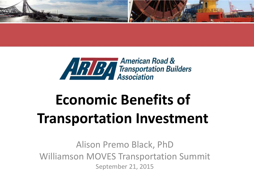



# **Economic Benefits of Transportation Investment**

Alison Premo Black, PhD Williamson MOVES Transportation Summit September 21, 2015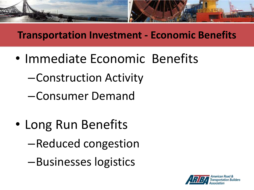

### **Transportation Investment - Economic Benefits**

- Immediate Economic Benefits
	- –Construction Activity
	- –Consumer Demand
- Long Run Benefits –Reduced congestion
	- –Businesses logistics

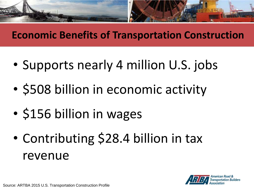

### **Economic Benefits of Transportation Construction**

- Supports nearly 4 million U.S. jobs
- \$508 billion in economic activity
- \$156 billion in wages
- Contributing \$28.4 billion in tax revenue

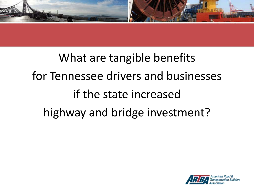

# What are tangible benefits for Tennessee drivers and businesses if the state increased highway and bridge investment?

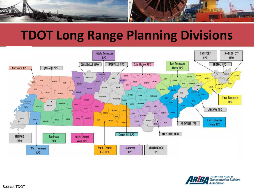

## **TDOT Long Range Planning Divisions**



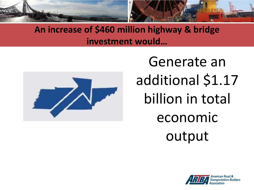



Generate an additional \$1.17 billion in total economic output

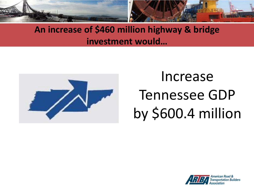



# Increase Tennessee GDP by \$600.4 million

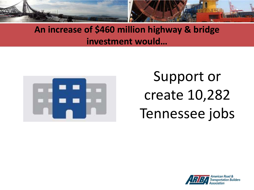



Support or create 10,282 Tennessee jobs

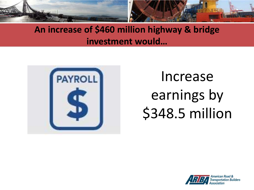



# Increase earnings by \$348.5 million

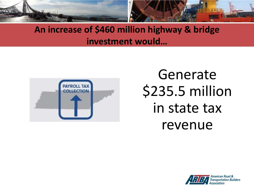



## Generate \$235.5 million in state tax revenue

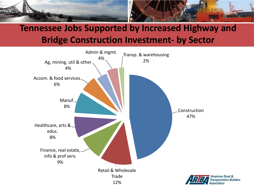

#### **Tennessee Jobs Supported by Increased Highway and Bridge Construction Investment- by Sector**

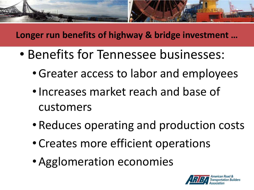

#### **Longer run benefits of highway & bridge investment …**

- Benefits for Tennessee businesses:
	- •Greater access to labor and employees
	- Increases market reach and base of customers
	- Reduces operating and production costs
	- Creates more efficient operations
	- Agglomeration economies

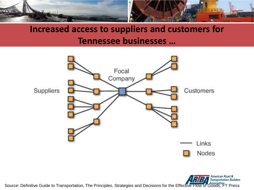

### **Increased access to suppliers and customers for Tennessee businesses …**



Source: Definitive Guide to Transportation, The Principles, Strategies and Decisions for the Effective Flow of Goods, FT Press

American Road & **Transportation Builders**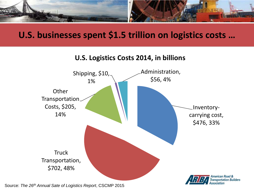

#### **U.S. businesses spent \$1.5 trillion on logistics costs …**

#### **U.S. Logistics Costs 2014, in billions**



Source: *The 26th Annual Sate of Logistics Report*, CSCMP 2015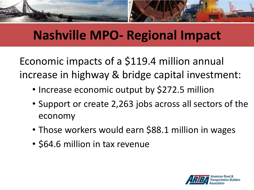

## **Nashville MPO- Regional Impact**

Economic impacts of a \$119.4 million annual increase in highway & bridge capital investment:

- Increase economic output by \$272.5 million
- Support or create 2,263 jobs across all sectors of the economy
- Those workers would earn \$88.1 million in wages
- \$64.6 million in tax revenue

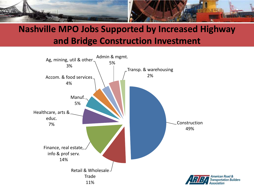

### **Nashville MPO Jobs Supported by Increased Highway and Bridge Construction Investment**

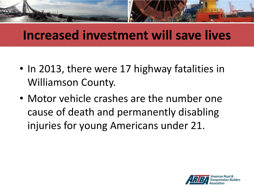

## **Increased investment will save lives**

- In 2013, there were 17 highway fatalities in Williamson County.
- Motor vehicle crashes are the number one cause of death and permanently disabling injuries for young Americans under 21.

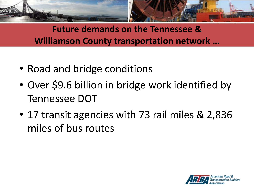

**Future demands on the Tennessee & Williamson County transportation network …** 

- Road and bridge conditions
- Over \$9.6 billion in bridge work identified by Tennessee DOT
- 17 transit agencies with 73 rail miles & 2,836 miles of bus routes

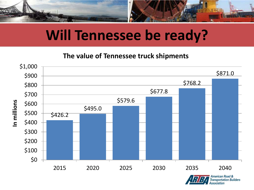

## **Will Tennessee be ready?**

#### **The value of Tennessee truck shipments**



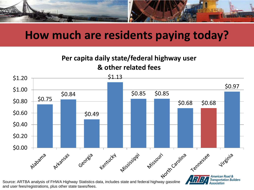

## **How much are residents paying today?**

#### **Per capita daily state/federal highway user & other related fees**



and user fees/registrations, plus other state taxes/fees.